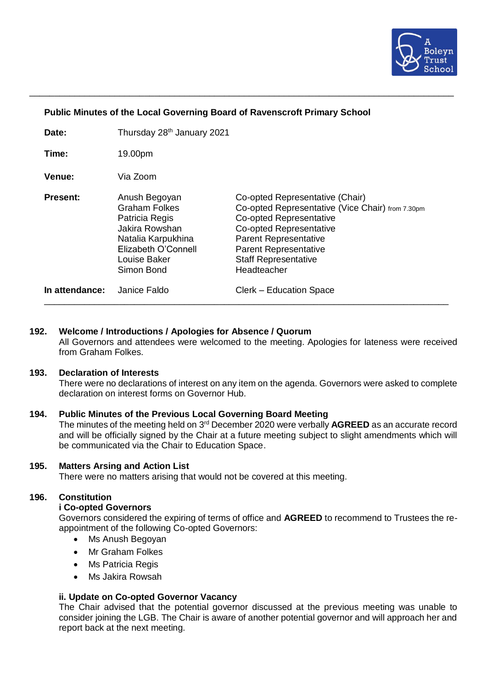

# **Public Minutes of the Local Governing Board of Ravenscroft Primary School**

| Date:           | Thursday 28 <sup>th</sup> January 2021                                                                                                               |                                                                                                                                                                                                                                                                |
|-----------------|------------------------------------------------------------------------------------------------------------------------------------------------------|----------------------------------------------------------------------------------------------------------------------------------------------------------------------------------------------------------------------------------------------------------------|
| Time:           | 19.00pm                                                                                                                                              |                                                                                                                                                                                                                                                                |
| <b>Venue:</b>   | Via Zoom                                                                                                                                             |                                                                                                                                                                                                                                                                |
| <b>Present:</b> | Anush Begoyan<br><b>Graham Folkes</b><br>Patricia Regis<br>Jakira Rowshan<br>Natalia Karpukhina<br>Elizabeth O'Connell<br>Louise Baker<br>Simon Bond | Co-opted Representative (Chair)<br>Co-opted Representative (Vice Chair) from 7.30pm<br><b>Co-opted Representative</b><br>Co-opted Representative<br><b>Parent Representative</b><br><b>Parent Representative</b><br><b>Staff Representative</b><br>Headteacher |
| In attendance:  | Janice Faldo                                                                                                                                         | Clerk – Education Space                                                                                                                                                                                                                                        |

\_\_\_\_\_\_\_\_\_\_\_\_\_\_\_\_\_\_\_\_\_\_\_\_\_\_\_\_\_\_\_\_\_\_\_\_\_\_\_\_\_\_\_\_\_\_\_\_\_\_\_\_\_\_\_\_\_\_\_\_\_\_\_\_\_\_\_\_\_\_\_\_\_\_\_\_\_\_\_\_\_\_\_\_\_

#### **192. Welcome / Introductions / Apologies for Absence / Quorum**

All Governors and attendees were welcomed to the meeting. Apologies for lateness were received from Graham Folkes.

# **193. Declaration of Interests**

There were no declarations of interest on any item on the agenda. Governors were asked to complete declaration on interest forms on Governor Hub.

#### **194. Public Minutes of the Previous Local Governing Board Meeting**

The minutes of the meeting held on 3<sup>rd</sup> December 2020 were verbally AGREED as an accurate record and will be officially signed by the Chair at a future meeting subject to slight amendments which will be communicated via the Chair to Education Space.

# **195. Matters Arsing and Action List**

There were no matters arising that would not be covered at this meeting.

# **196. Constitution**

# **i Co-opted Governors**

Governors considered the expiring of terms of office and **AGREED** to recommend to Trustees the reappointment of the following Co-opted Governors:

- Ms Anush Begoyan
- Mr Graham Folkes
- Ms Patricia Regis
- Ms Jakira Rowsah

# **ii. Update on Co-opted Governor Vacancy**

The Chair advised that the potential governor discussed at the previous meeting was unable to consider joining the LGB. The Chair is aware of another potential governor and will approach her and report back at the next meeting.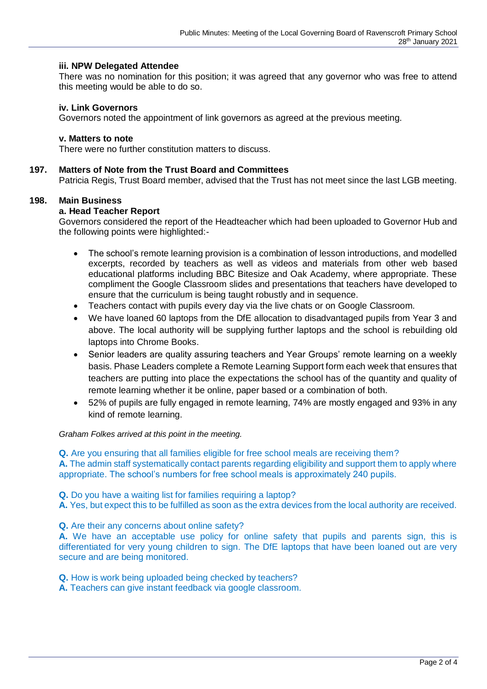# **iii. NPW Delegated Attendee**

There was no nomination for this position; it was agreed that any governor who was free to attend this meeting would be able to do so.

# **iv. Link Governors**

Governors noted the appointment of link governors as agreed at the previous meeting.

#### **v. Matters to note**

There were no further constitution matters to discuss.

# **197. Matters of Note from the Trust Board and Committees**

Patricia Regis, Trust Board member, advised that the Trust has not meet since the last LGB meeting.

# **198. Main Business**

# **a. Head Teacher Report**

Governors considered the report of the Headteacher which had been uploaded to Governor Hub and the following points were highlighted:-

- The school's remote learning provision is a combination of lesson introductions, and modelled excerpts, recorded by teachers as well as videos and materials from other web based educational platforms including BBC Bitesize and Oak Academy, where appropriate. These compliment the Google Classroom slides and presentations that teachers have developed to ensure that the curriculum is being taught robustly and in sequence.
- Teachers contact with pupils every day via the live chats or on Google Classroom.
- We have loaned 60 laptops from the DfE allocation to disadvantaged pupils from Year 3 and above. The local authority will be supplying further laptops and the school is rebuilding old laptops into Chrome Books.
- Senior leaders are quality assuring teachers and Year Groups' remote learning on a weekly basis. Phase Leaders complete a Remote Learning Support form each week that ensures that teachers are putting into place the expectations the school has of the quantity and quality of remote learning whether it be online, paper based or a combination of both.
- 52% of pupils are fully engaged in remote learning, 74% are mostly engaged and 93% in any kind of remote learning.

# *Graham Folkes arrived at this point in the meeting.*

**Q.** Are you ensuring that all families eligible for free school meals are receiving them? **A.** The admin staff systematically contact parents regarding eligibility and support them to apply where appropriate. The school's numbers for free school meals is approximately 240 pupils.

**Q.** Do you have a waiting list for families requiring a laptop?

**A.** Yes, but expect this to be fulfilled as soon as the extra devices from the local authority are received.

**Q.** Are their any concerns about online safety?

**A.** We have an acceptable use policy for online safety that pupils and parents sign, this is differentiated for very young children to sign. The DfE laptops that have been loaned out are very secure and are being monitored.

**Q.** How is work being uploaded being checked by teachers?

**A.** Teachers can give instant feedback via google classroom.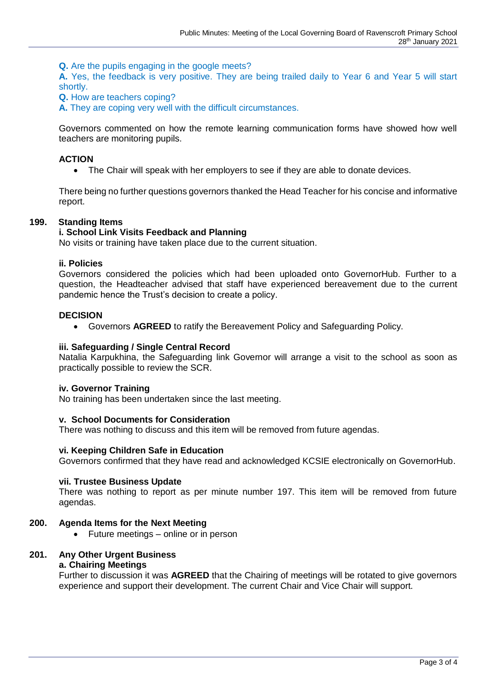**Q.** Are the pupils engaging in the google meets?

**A.** Yes, the feedback is very positive. They are being trailed daily to Year 6 and Year 5 will start shortly.

**Q.** How are teachers coping?

**A.** They are coping very well with the difficult circumstances.

Governors commented on how the remote learning communication forms have showed how well teachers are monitoring pupils.

# **ACTION**

• The Chair will speak with her employers to see if they are able to donate devices.

There being no further questions governors thanked the Head Teacher for his concise and informative report.

# **199. Standing Items**

# **i. School Link Visits Feedback and Planning**

No visits or training have taken place due to the current situation.

# **ii. Policies**

Governors considered the policies which had been uploaded onto GovernorHub. Further to a question, the Headteacher advised that staff have experienced bereavement due to the current pandemic hence the Trust's decision to create a policy.

#### **DECISION**

• Governors **AGREED** to ratify the Bereavement Policy and Safeguarding Policy.

# **iii. Safeguarding / Single Central Record**

Natalia Karpukhina, the Safeguarding link Governor will arrange a visit to the school as soon as practically possible to review the SCR.

#### **iv. Governor Training**

No training has been undertaken since the last meeting.

#### **v. School Documents for Consideration**

There was nothing to discuss and this item will be removed from future agendas.

# **vi. Keeping Children Safe in Education**

Governors confirmed that they have read and acknowledged KCSIE electronically on GovernorHub.

# **vii. Trustee Business Update**

There was nothing to report as per minute number 197. This item will be removed from future agendas.

# **200. Agenda Items for the Next Meeting**

• Future meetings – online or in person

# **201. Any Other Urgent Business**

# **a. Chairing Meetings**

Further to discussion it was **AGREED** that the Chairing of meetings will be rotated to give governors experience and support their development. The current Chair and Vice Chair will support.